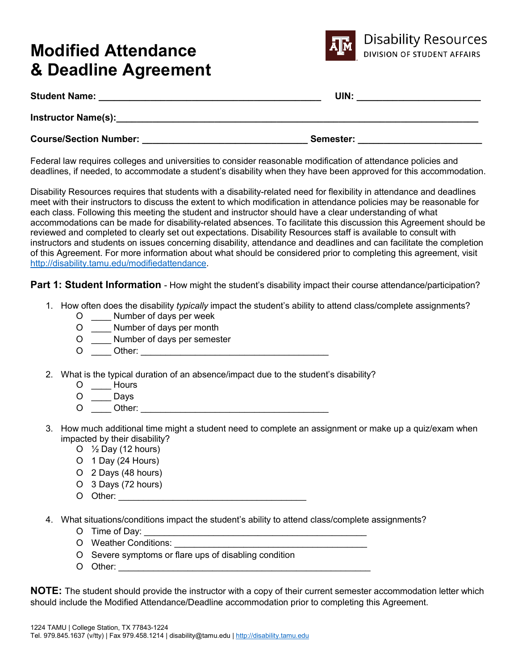# **Modified Attendance & Deadline Agreement**



| <b>Student Name:</b>          | UIN:      |
|-------------------------------|-----------|
| <b>Instructor Name(s):</b>    |           |
| <b>Course/Section Number:</b> | Semester: |

Federal law requires colleges and universities to consider reasonable modification of attendance policies and deadlines, if needed, to accommodate a student's disability when they have been approved for this accommodation.

Disability Resources requires that students with a disability-related need for flexibility in attendance and deadlines meet with their instructors to discuss the extent to which modification in attendance policies may be reasonable for each class. Following this meeting the student and instructor should have a clear understanding of what accommodations can be made for disability-related absences. To facilitate this discussion this Agreement should be reviewed and completed to clearly set out expectations. Disability Resources staff is available to consult with instructors and students on issues concerning disability, attendance and deadlines and can facilitate the completion of this Agreement. For more information about what should be considered prior to completing this agreement, visit [http://disability.tamu.edu/modifiedattendance.](http://disability.tamu.edu/modifiedattendance)

**Part 1: Student Information** - How might the student's disability impact their course attendance/participation?

- 1. How often does the disability *typically* impact the student's ability to attend class/complete assignments?
	- O \_\_\_\_ Number of days per week
	- O \_\_\_\_ Number of days per month
	- O \_\_\_\_ Number of days per semester
	- O \_\_\_\_ Other: \_\_\_\_\_\_\_\_\_\_\_\_\_\_\_\_\_\_\_\_\_\_\_\_\_\_\_\_\_\_\_\_\_\_\_\_\_\_

2. What is the typical duration of an absence/impact due to the student's disability?

- O Hours
- O \_\_\_\_ Days
- $\overline{O}$   $\overline{O}$   $\overline{O}$   $\overline{O}$   $\overline{O}$   $\overline{O}$   $\overline{O}$   $\overline{O}$   $\overline{O}$   $\overline{O}$   $\overline{O}$   $\overline{O}$   $\overline{O}$   $\overline{O}$   $\overline{O}$   $\overline{O}$   $\overline{O}$   $\overline{O}$   $\overline{O}$   $\overline{O}$   $\overline{O}$   $\overline{O}$   $\overline{O}$   $\overline{O}$   $\overline{$
- 3. How much additional time might a student need to complete an assignment or make up a quiz/exam when impacted by their disability?
	- O  $\frac{1}{2}$  Day (12 hours)
	- O 1 Day (24 Hours)
	- O 2 Days (48 hours)
	- O 3 Days (72 hours)
	- O Other: \_\_\_\_\_\_\_\_\_\_\_\_\_\_\_\_\_\_\_\_\_\_\_\_\_\_\_\_\_\_\_\_\_\_\_\_\_\_

4. What situations/conditions impact the student's ability to attend class/complete assignments?

- O Time of Day: \_\_\_\_\_\_\_\_\_\_\_\_\_\_\_\_\_\_\_\_\_\_\_\_\_\_\_\_\_\_\_\_\_\_\_\_\_\_\_\_\_\_\_\_\_
- O Weather Conditions: \_\_\_\_\_\_\_\_\_\_\_\_\_\_\_\_\_\_\_\_\_\_\_\_\_\_\_\_\_\_\_\_\_\_\_\_\_\_\_
- O Severe symptoms or flare ups of disabling condition
- O Other: \_\_\_\_\_\_\_\_\_\_\_\_\_\_\_\_\_\_\_\_\_\_\_\_\_\_\_\_\_\_\_\_\_\_\_\_\_\_\_\_\_\_\_\_\_\_\_\_\_\_\_

**NOTE:** The student should provide the instructor with a copy of their current semester accommodation letter which should include the Modified Attendance/Deadline accommodation prior to completing this Agreement.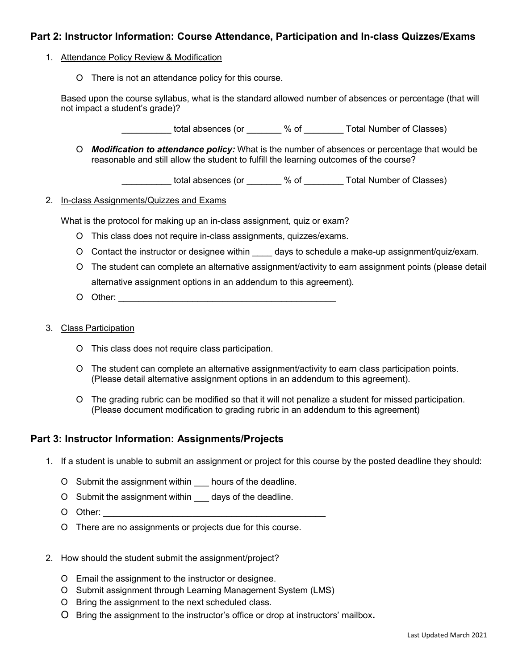## **Part 2: Instructor Information: Course Attendance, Participation and In-class Quizzes/Exams**

#### 1. Attendance Policy Review & Modification

O There is not an attendance policy for this course.

Based upon the course syllabus, what is the standard allowed number of absences or percentage (that will not impact a student's grade)?

\_\_\_\_\_\_\_\_\_\_ total absences (or \_\_\_\_\_\_\_ % of \_\_\_\_\_\_\_\_ Total Number of Classes)

O *Modification to attendance policy:* What is the number of absences or percentage that would be reasonable and still allow the student to fulfill the learning outcomes of the course?

\_\_\_\_\_\_\_\_\_\_ total absences (or \_\_\_\_\_\_\_ % of \_\_\_\_\_\_\_\_ Total Number of Classes)

#### 2. In-class Assignments/Quizzes and Exams

What is the protocol for making up an in-class assignment, quiz or exam?

- O This class does not require in-class assignments, quizzes/exams.
- O Contact the instructor or designee within days to schedule a make-up assignment/quiz/exam.
- O The student can complete an alternative assignment/activity to earn assignment points (please detail alternative assignment options in an addendum to this agreement).
- O Other:
- 3. Class Participation
	- O This class does not require class participation.
	- O The student can complete an alternative assignment/activity to earn class participation points. (Please detail alternative assignment options in an addendum to this agreement).
	- O The grading rubric can be modified so that it will not penalize a student for missed participation. (Please document modification to grading rubric in an addendum to this agreement)

### **Part 3: Instructor Information: Assignments/Projects**

- 1. If a student is unable to submit an assignment or project for this course by the posted deadline they should:
	- O Submit the assignment within hours of the deadline.
	- O Submit the assignment within \_\_\_ days of the deadline.
	- O Other:
	- O There are no assignments or projects due for this course.
- 2. How should the student submit the assignment/project?
	- O Email the assignment to the instructor or designee.
	- O Submit assignment through Learning Management System (LMS)
	- O Bring the assignment to the next scheduled class.
	- O Bring the assignment to the instructor's office or drop at instructors' mailbox**.**